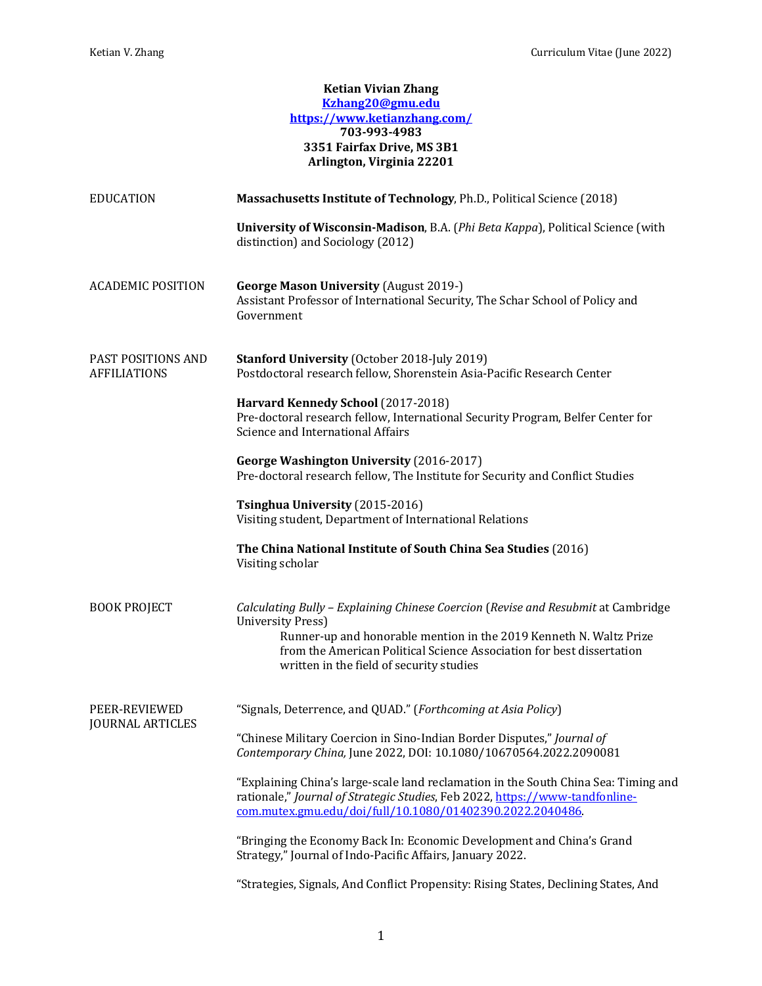## **Ketian Vivian Zhang Kzhang20@gmu.edu https://www.ketianzhang.com/ 703-993-4983 3351 Fairfax Drive, MS 3B1 Arlington, Virginia 22201 EDUCATION Massachusetts Institute of Technology**, Ph.D., Political Science (2018) **University of Wisconsin-Madison**, B.A. (*Phi Beta Kappa*), Political Science (with distinction) and Sociology (2012) ACADEMIC POSITION **George Mason University** (August 2019-) Assistant Professor of International Security, The Schar School of Policy and Government PAST POSITIONS AND AFFILIATIONS **Stanford University** (October 2018-July 2019) Postdoctoral research fellow, Shorenstein Asia-Pacific Research Center **Harvard Kennedy School** (2017-2018) Pre-doctoral research fellow, International Security Program, Belfer Center for Science and International Affairs **George Washington University** (2016-2017) Pre-doctoral research fellow, The Institute for Security and Conflict Studies **Tsinghua University** (2015-2016) Visiting student, Department of International Relations **The China National Institute of South China Sea Studies** (2016) Visiting scholar BOOK PROJECT *Calculating Bully – Explaining Chinese Coercion* (*Revise and Resubmit* at Cambridge University Press) Runner-up and honorable mention in the 2019 Kenneth N. Waltz Prize from the American Political Science Association for best dissertation written in the field of security studies PEER-REVIEWED JOURNAL ARTICLES "Signals, Deterrence, and QUAD." (*Forthcoming at Asia Policy*) "Chinese Military Coercion in Sino-Indian Border Disputes," *Journal of Contemporary China,* June 2022, DOI: 10.1080/10670564.2022.2090081 "Explaining China's large-scale land reclamation in the South China Sea: Timing and rationale," *Journal of Strategic Studies*, Feb 2022, https://www-tandfonlinecom.mutex.gmu.edu/doi/full/10.1080/01402390.2022.2040486. "Bringing the Economy Back In: Economic Development and China's Grand Strategy," Journal of Indo-Pacific Affairs, January 2022. "Strategies, Signals, And Conflict Propensity: Rising States, Declining States, And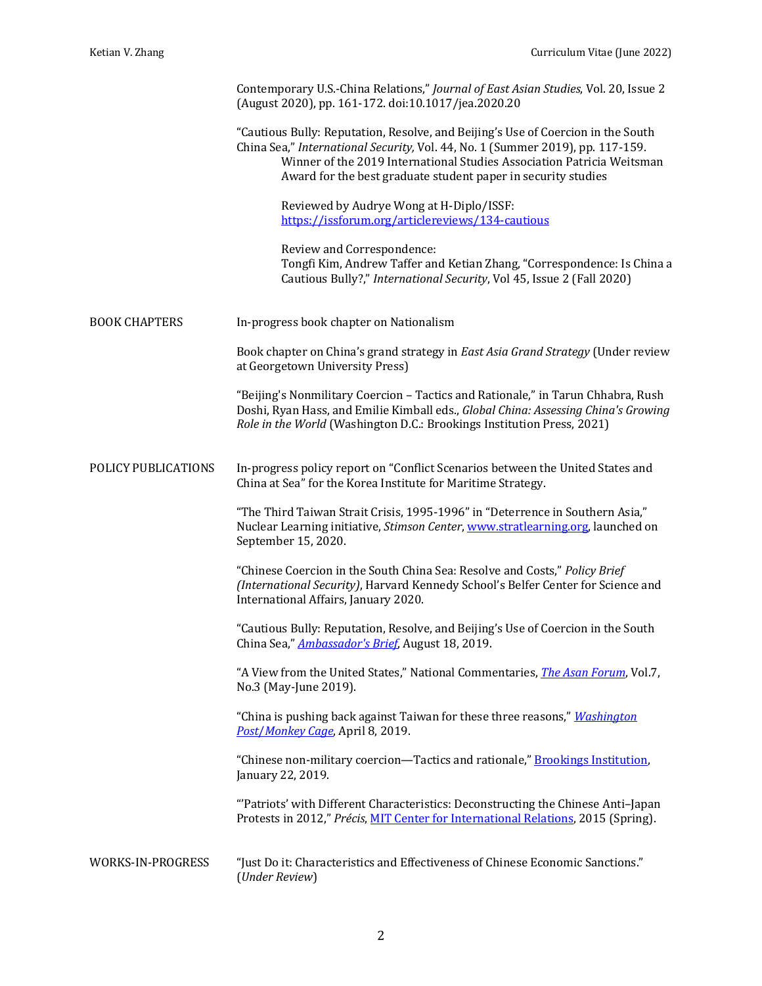|                      | Contemporary U.S.-China Relations," Journal of East Asian Studies, Vol. 20, Issue 2<br>(August 2020), pp. 161-172. doi:10.1017/jea.2020.20                                                                                                                                                                    |
|----------------------|---------------------------------------------------------------------------------------------------------------------------------------------------------------------------------------------------------------------------------------------------------------------------------------------------------------|
|                      | "Cautious Bully: Reputation, Resolve, and Beijing's Use of Coercion in the South<br>China Sea," International Security, Vol. 44, No. 1 (Summer 2019), pp. 117-159.<br>Winner of the 2019 International Studies Association Patricia Weitsman<br>Award for the best graduate student paper in security studies |
|                      | Reviewed by Audrye Wong at H-Diplo/ISSF:<br>https://issforum.org/articlereviews/134-cautious                                                                                                                                                                                                                  |
|                      | Review and Correspondence:<br>Tongfi Kim, Andrew Taffer and Ketian Zhang, "Correspondence: Is China a<br>Cautious Bully?," International Security, Vol 45, Issue 2 (Fall 2020)                                                                                                                                |
| <b>BOOK CHAPTERS</b> | In-progress book chapter on Nationalism                                                                                                                                                                                                                                                                       |
|                      | Book chapter on China's grand strategy in East Asia Grand Strategy (Under review<br>at Georgetown University Press)                                                                                                                                                                                           |
|                      | "Beijing's Nonmilitary Coercion - Tactics and Rationale," in Tarun Chhabra, Rush<br>Doshi, Ryan Hass, and Emilie Kimball eds., Global China: Assessing China's Growing<br>Role in the World (Washington D.C.: Brookings Institution Press, 2021)                                                              |
| POLICY PUBLICATIONS  | In-progress policy report on "Conflict Scenarios between the United States and<br>China at Sea" for the Korea Institute for Maritime Strategy.                                                                                                                                                                |
|                      | "The Third Taiwan Strait Crisis, 1995-1996" in "Deterrence in Southern Asia,"<br>Nuclear Learning initiative, Stimson Center, www.stratlearning.org, launched on<br>September 15, 2020.                                                                                                                       |
|                      | "Chinese Coercion in the South China Sea: Resolve and Costs," Policy Brief<br>(International Security), Harvard Kennedy School's Belfer Center for Science and<br>International Affairs, January 2020.                                                                                                        |
|                      | "Cautious Bully: Reputation, Resolve, and Beijing's Use of Coercion in the South<br>China Sea," Ambassador's Brief, August 18, 2019.                                                                                                                                                                          |
|                      | "A View from the United States," National Commentaries, <i>The Asan Forum</i> , Vol.7,<br>No.3 (May-June 2019).                                                                                                                                                                                               |
|                      | "China is pushing back against Taiwan for these three reasons," Washington<br>Post/Monkey Cage, April 8, 2019.                                                                                                                                                                                                |
|                      | "Chinese non-military coercion—Tactics and rationale," Brookings Institution,<br>January 22, 2019.                                                                                                                                                                                                            |
|                      | "Patriots' with Different Characteristics: Deconstructing the Chinese Anti-Japan<br>Protests in 2012," Précis, MIT Center for International Relations, 2015 (Spring).                                                                                                                                         |
| WORKS-IN-PROGRESS    | "Just Do it: Characteristics and Effectiveness of Chinese Economic Sanctions."<br>(Under Review)                                                                                                                                                                                                              |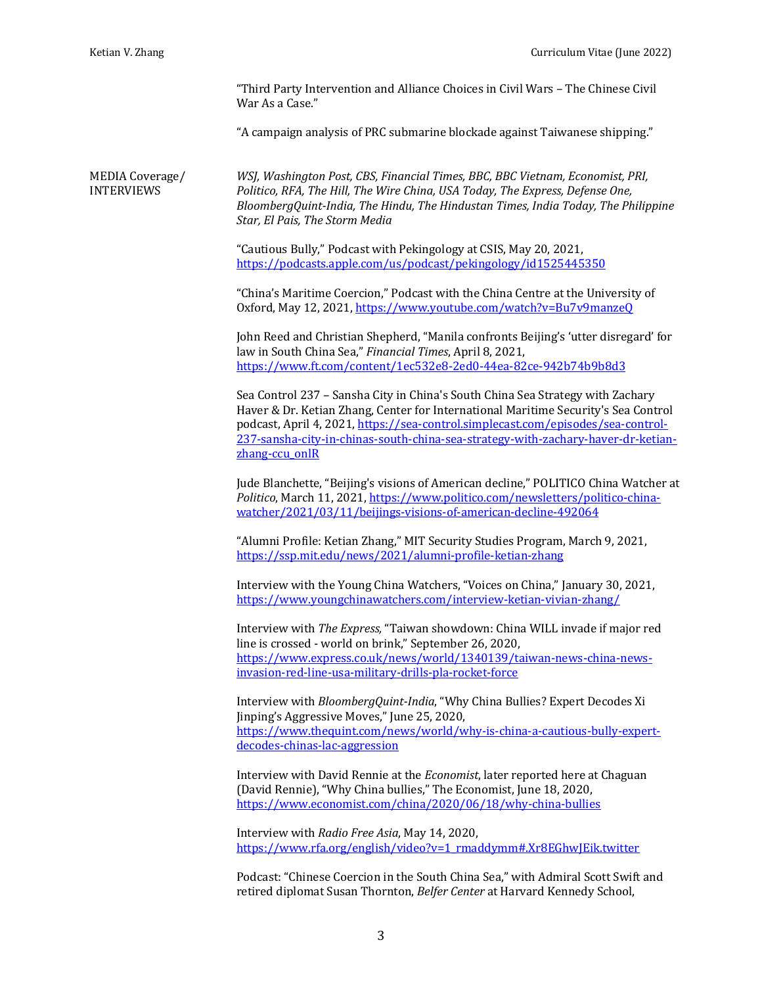"Third Party Intervention and Alliance Choices in Civil Wars - The Chinese Civil War As a Case."

"A campaign analysis of PRC submarine blockade against Taiwanese shipping."

MEDIA Coverage/ INTERVIEWS

*WSJ, Washington Post, CBS, Financial Times, BBC, BBC Vietnam, Economist, PRI, Politico, RFA, The Hill, The Wire China, USA Today, The Express, Defense One, BloombergQuint-India, The Hindu, The Hindustan Times, India Today, The Philippine Star, El Pais, The Storm Media*

"Cautious Bully," Podcast with Pekingology at CSIS, May 20, 2021, https://podcasts.apple.com/us/podcast/pekingology/id1525445350

"China's Maritime Coercion," Podcast with the China Centre at the University of Oxford, May 12, 2021, https://www.youtube.com/watch?v=Bu7v9manzeQ

John Reed and Christian Shepherd, "Manila confronts Beijing's 'utter disregard' for law in South China Sea," *Financial Times*, April 8, 2021, https://www.ft.com/content/1ec532e8-2ed0-44ea-82ce-942b74b9b8d3

Sea Control 237 – Sansha City in China's South China Sea Strategy with Zachary Haver & Dr. Ketian Zhang, Center for International Maritime Security's Sea Control podcast, April 4, 2021, https://sea-control.simplecast.com/episodes/sea-control-237-sansha-city-in-chinas-south-china-sea-strategy-with-zachary-haver-dr-ketianzhang-ccu\_onlR

Jude Blanchette, "Beijing's visions of American decline," POLITICO China Watcher at *Politico*, March 11, 2021, https://www.politico.com/newsletters/politico-chinawatcher/2021/03/11/beijings-visions-of-american-decline-492064

"Alumni Profile: Ketian Zhang," MIT Security Studies Program, March 9, 2021, https://ssp.mit.edu/news/2021/alumni-profile-ketian-zhang

Interview with the Young China Watchers, "Voices on China," January 30, 2021, https://www.youngchinawatchers.com/interview-ketian-vivian-zhang/

Interview with *The Express*, "Taiwan showdown: China WILL invade if major red line is crossed - world on brink," September 26, 2020, https://www.express.co.uk/news/world/1340139/taiwan-news-china-newsinvasion-red-line-usa-military-drills-pla-rocket-force

Interview with *BloombergQuint-India*, "Why China Bullies? Expert Decodes Xi Jinping's Aggressive Moves," June 25, 2020, https://www.thequint.com/news/world/why-is-china-a-cautious-bully-expertdecodes-chinas-lac-aggression

Interview with David Rennie at the *Economist*, later reported here at Chaguan (David Rennie), "Why China bullies," The Economist, June 18, 2020, https://www.economist.com/china/2020/06/18/why-china-bullies

Interview with *Radio Free Asia*, May 14, 2020, https://www.rfa.org/english/video?v=1\_rmaddymm#.Xr8EGhwJEik.twitter

Podcast: "Chinese Coercion in the South China Sea," with Admiral Scott Swift and retired diplomat Susan Thornton, *Belfer Center* at Harvard Kennedy School,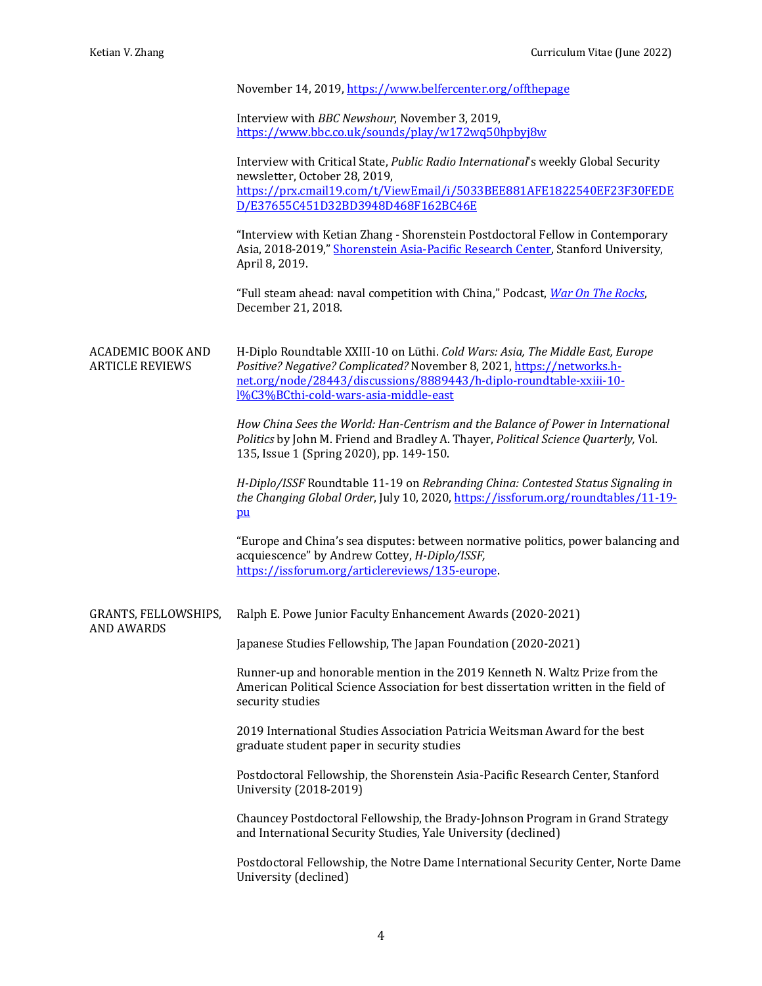|                                                    | November 14, 2019, https://www.belfercenter.org/offthepage                                                                                                                                                                      |
|----------------------------------------------------|---------------------------------------------------------------------------------------------------------------------------------------------------------------------------------------------------------------------------------|
|                                                    | Interview with BBC Newshour, November 3, 2019,<br>https://www.bbc.co.uk/sounds/play/w172wq50hpbyj8w                                                                                                                             |
|                                                    | Interview with Critical State, Public Radio International's weekly Global Security<br>newsletter, October 28, 2019,                                                                                                             |
|                                                    | https://prx.cmail19.com/t/ViewEmail/i/5033BEE881AFE1822540EF23F30FEDE<br>D/E37655C451D32BD3948D468F162BC46E                                                                                                                     |
|                                                    | "Interview with Ketian Zhang - Shorenstein Postdoctoral Fellow in Contemporary<br>Asia, 2018-2019," Shorenstein Asia-Pacific Research Center, Stanford University,<br>April 8, 2019.                                            |
|                                                    | "Full steam ahead: naval competition with China," Podcast, War On The Rocks,<br>December 21, 2018.                                                                                                                              |
| <b>ACADEMIC BOOK AND</b><br><b>ARTICLE REVIEWS</b> | H-Diplo Roundtable XXIII-10 on Lüthi. Cold Wars: Asia, The Middle East, Europe<br>Positive? Negative? Complicated? November 8, 2021, https://networks.h-<br>net.org/node/28443/discussions/8889443/h-diplo-roundtable-xxiii-10- |
|                                                    | 1%C3%BCthi-cold-wars-asia-middle-east                                                                                                                                                                                           |
|                                                    | How China Sees the World: Han-Centrism and the Balance of Power in International<br>Politics by John M. Friend and Bradley A. Thayer, Political Science Quarterly, Vol.<br>135, Issue 1 (Spring 2020), pp. 149-150.             |
|                                                    | H-Diplo/ISSF Roundtable 11-19 on Rebranding China: Contested Status Signaling in<br>the Changing Global Order, July 10, 2020, https://issforum.org/roundtables/11-19-<br>p <u>u</u>                                             |
|                                                    | "Europe and China's sea disputes: between normative politics, power balancing and<br>acquiescence" by Andrew Cottey, H-Diplo/ISSF,<br>https://issforum.org/articlereviews/135-europe.                                           |
| GRANTS, FELLOWSHIPS,<br><b>AND AWARDS</b>          | Ralph E. Powe Junior Faculty Enhancement Awards (2020-2021)                                                                                                                                                                     |
|                                                    | Japanese Studies Fellowship, The Japan Foundation (2020-2021)                                                                                                                                                                   |
|                                                    | Runner-up and honorable mention in the 2019 Kenneth N. Waltz Prize from the<br>American Political Science Association for best dissertation written in the field of<br>security studies                                         |
|                                                    | 2019 International Studies Association Patricia Weitsman Award for the best<br>graduate student paper in security studies                                                                                                       |
|                                                    | Postdoctoral Fellowship, the Shorenstein Asia-Pacific Research Center, Stanford<br>University (2018-2019)                                                                                                                       |
|                                                    | Chauncey Postdoctoral Fellowship, the Brady-Johnson Program in Grand Strategy<br>and International Security Studies, Yale University (declined)                                                                                 |
|                                                    | Postdoctoral Fellowship, the Notre Dame International Security Center, Norte Dame<br>University (declined)                                                                                                                      |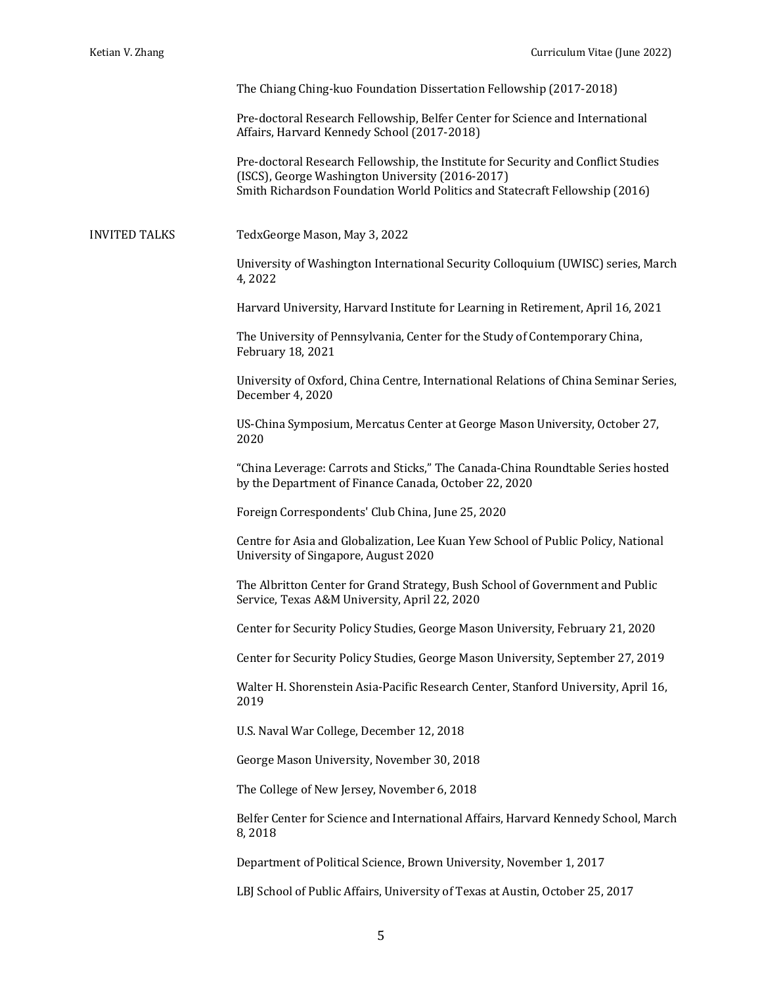The Chiang Ching-kuo Foundation Dissertation Fellowship (2017-2018)

Pre-doctoral Research Fellowship, Belfer Center for Science and International Affairs, Harvard Kennedy School (2017-2018)

Pre-doctoral Research Fellowship, the Institute for Security and Conflict Studies (ISCS), George Washington University (2016-2017) Smith Richardson Foundation World Politics and Statecraft Fellowship (2016)

INVITED TALKS TedxGeorge Mason, May 3, 2022

University of Washington International Security Colloquium (UWISC) series, March 4, 2022

Harvard University, Harvard Institute for Learning in Retirement, April 16, 2021

The University of Pennsylvania, Center for the Study of Contemporary China, February 18, 2021

University of Oxford, China Centre, International Relations of China Seminar Series, December 4, 2020

US-China Symposium, Mercatus Center at George Mason University, October 27, 2020

"China Leverage: Carrots and Sticks," The Canada-China Roundtable Series hosted by the Department of Finance Canada, October 22, 2020

Foreign Correspondents' Club China, June 25, 2020

Centre for Asia and Globalization, Lee Kuan Yew School of Public Policy, National University of Singapore, August 2020

The Albritton Center for Grand Strategy, Bush School of Government and Public Service, Texas A&M University, April 22, 2020

Center for Security Policy Studies, George Mason University, February 21, 2020

Center for Security Policy Studies, George Mason University, September 27, 2019

Walter H. Shorenstein Asia-Pacific Research Center, Stanford University, April 16, 2019

U.S. Naval War College, December 12, 2018

George Mason University, November 30, 2018

The College of New Jersey, November 6, 2018

Belfer Center for Science and International Affairs, Harvard Kennedy School, March 8, 2018

Department of Political Science, Brown University, November 1, 2017

LBJ School of Public Affairs, University of Texas at Austin, October 25, 2017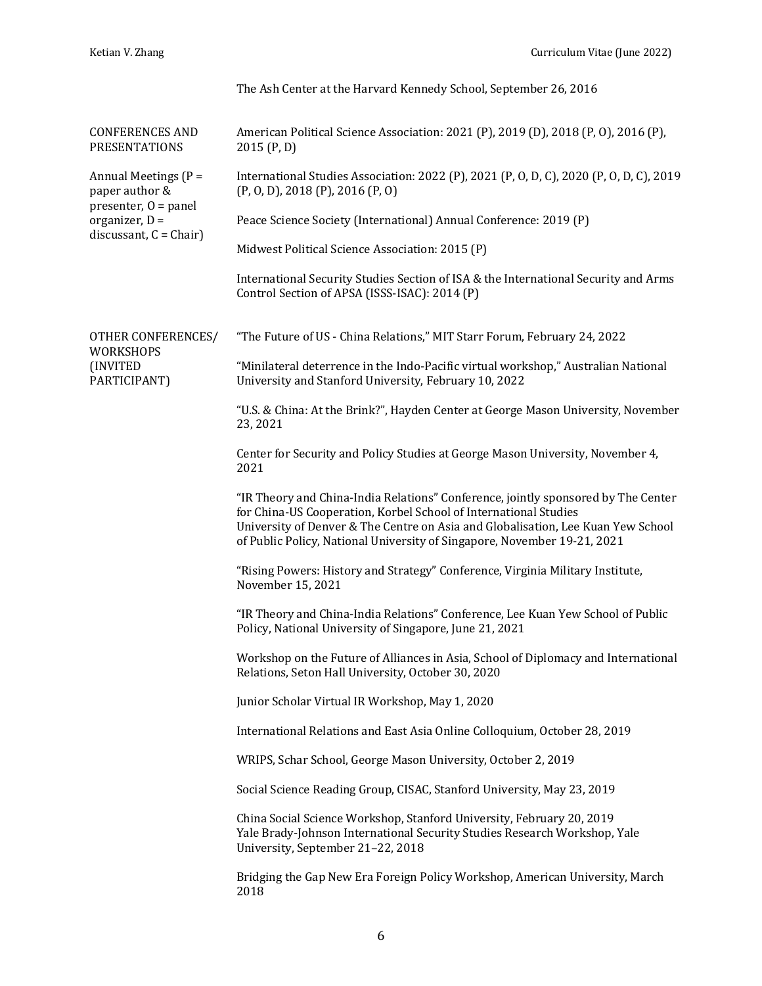|                                                                                                                | The Ash Center at the Harvard Kennedy School, September 26, 2016                                                                                                                                                                                                                                                      |
|----------------------------------------------------------------------------------------------------------------|-----------------------------------------------------------------------------------------------------------------------------------------------------------------------------------------------------------------------------------------------------------------------------------------------------------------------|
| <b>CONFERENCES AND</b><br><b>PRESENTATIONS</b>                                                                 | American Political Science Association: 2021 (P), 2019 (D), 2018 (P, 0), 2016 (P),<br>2015(P, D)                                                                                                                                                                                                                      |
| Annual Meetings (P =<br>paper author &<br>presenter, $0 =$ panel<br>organizer, D =<br>$discussant, C = Chair)$ | International Studies Association: 2022 (P), 2021 (P, O, D, C), 2020 (P, O, D, C), 2019<br>$(P, 0, D)$ , 2018 $(P)$ , 2016 $(P, 0)$                                                                                                                                                                                   |
|                                                                                                                | Peace Science Society (International) Annual Conference: 2019 (P)                                                                                                                                                                                                                                                     |
|                                                                                                                | Midwest Political Science Association: 2015 (P)                                                                                                                                                                                                                                                                       |
|                                                                                                                | International Security Studies Section of ISA & the International Security and Arms<br>Control Section of APSA (ISSS-ISAC): 2014 (P)                                                                                                                                                                                  |
| OTHER CONFERENCES/<br><b>WORKSHOPS</b><br>(INVITED<br>PARTICIPANT)                                             | "The Future of US - China Relations," MIT Starr Forum, February 24, 2022                                                                                                                                                                                                                                              |
|                                                                                                                | "Minilateral deterrence in the Indo-Pacific virtual workshop," Australian National<br>University and Stanford University, February 10, 2022                                                                                                                                                                           |
|                                                                                                                | "U.S. & China: At the Brink?", Hayden Center at George Mason University, November<br>23, 2021                                                                                                                                                                                                                         |
|                                                                                                                | Center for Security and Policy Studies at George Mason University, November 4,<br>2021                                                                                                                                                                                                                                |
|                                                                                                                | "IR Theory and China-India Relations" Conference, jointly sponsored by The Center<br>for China-US Cooperation, Korbel School of International Studies<br>University of Denver & The Centre on Asia and Globalisation, Lee Kuan Yew School<br>of Public Policy, National University of Singapore, November 19-21, 2021 |
|                                                                                                                | "Rising Powers: History and Strategy" Conference, Virginia Military Institute,<br>November 15, 2021                                                                                                                                                                                                                   |
|                                                                                                                | "IR Theory and China-India Relations" Conference, Lee Kuan Yew School of Public<br>Policy, National University of Singapore, June 21, 2021                                                                                                                                                                            |
|                                                                                                                | Workshop on the Future of Alliances in Asia, School of Diplomacy and International<br>Relations, Seton Hall University, October 30, 2020                                                                                                                                                                              |
|                                                                                                                | Junior Scholar Virtual IR Workshop, May 1, 2020                                                                                                                                                                                                                                                                       |
|                                                                                                                | International Relations and East Asia Online Colloquium, October 28, 2019                                                                                                                                                                                                                                             |
|                                                                                                                | WRIPS, Schar School, George Mason University, October 2, 2019                                                                                                                                                                                                                                                         |
|                                                                                                                | Social Science Reading Group, CISAC, Stanford University, May 23, 2019                                                                                                                                                                                                                                                |
|                                                                                                                | China Social Science Workshop, Stanford University, February 20, 2019<br>Yale Brady-Johnson International Security Studies Research Workshop, Yale<br>University, September 21-22, 2018                                                                                                                               |
|                                                                                                                | Bridging the Gap New Era Foreign Policy Workshop, American University, March<br>2018                                                                                                                                                                                                                                  |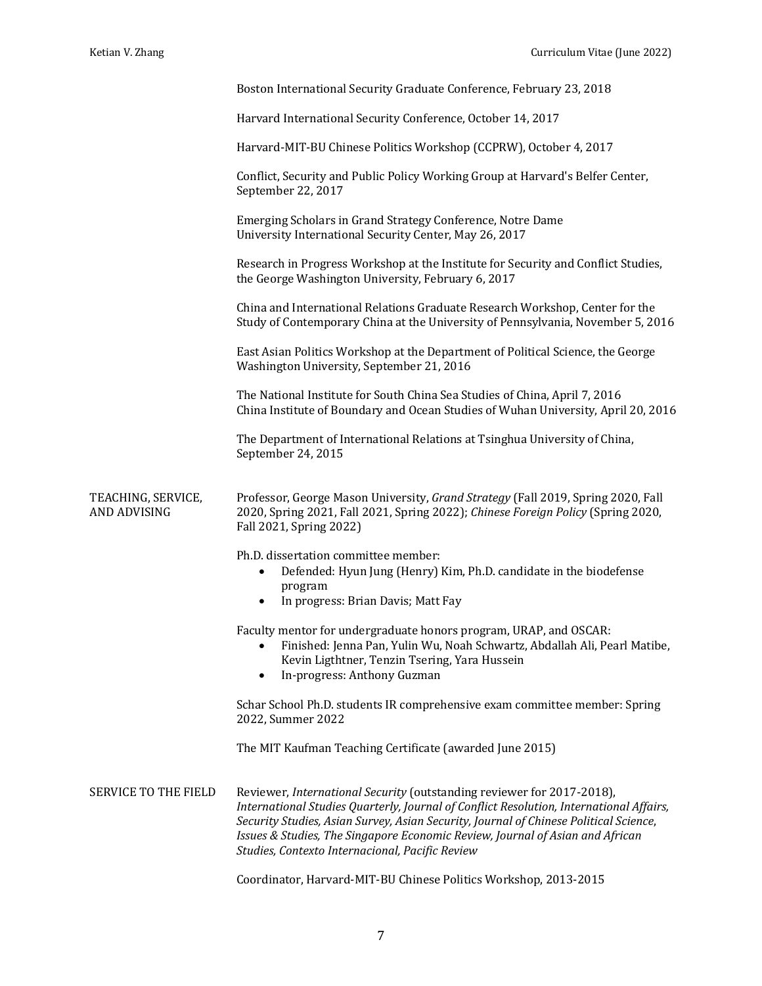|                                    | Boston International Security Graduate Conference, February 23, 2018                                                                                                                                                                                                                                                                                                                           |
|------------------------------------|------------------------------------------------------------------------------------------------------------------------------------------------------------------------------------------------------------------------------------------------------------------------------------------------------------------------------------------------------------------------------------------------|
|                                    | Harvard International Security Conference, October 14, 2017                                                                                                                                                                                                                                                                                                                                    |
|                                    | Harvard-MIT-BU Chinese Politics Workshop (CCPRW), October 4, 2017                                                                                                                                                                                                                                                                                                                              |
|                                    | Conflict, Security and Public Policy Working Group at Harvard's Belfer Center,<br>September 22, 2017                                                                                                                                                                                                                                                                                           |
|                                    | Emerging Scholars in Grand Strategy Conference, Notre Dame<br>University International Security Center, May 26, 2017                                                                                                                                                                                                                                                                           |
|                                    | Research in Progress Workshop at the Institute for Security and Conflict Studies,<br>the George Washington University, February 6, 2017                                                                                                                                                                                                                                                        |
|                                    | China and International Relations Graduate Research Workshop, Center for the<br>Study of Contemporary China at the University of Pennsylvania, November 5, 2016                                                                                                                                                                                                                                |
|                                    | East Asian Politics Workshop at the Department of Political Science, the George<br>Washington University, September 21, 2016                                                                                                                                                                                                                                                                   |
|                                    | The National Institute for South China Sea Studies of China, April 7, 2016<br>China Institute of Boundary and Ocean Studies of Wuhan University, April 20, 2016                                                                                                                                                                                                                                |
|                                    | The Department of International Relations at Tsinghua University of China,<br>September 24, 2015                                                                                                                                                                                                                                                                                               |
| TEACHING, SERVICE,<br>AND ADVISING | Professor, George Mason University, Grand Strategy (Fall 2019, Spring 2020, Fall<br>2020, Spring 2021, Fall 2021, Spring 2022); Chinese Foreign Policy (Spring 2020,<br>Fall 2021, Spring 2022)                                                                                                                                                                                                |
|                                    | Ph.D. dissertation committee member:<br>Defended: Hyun Jung (Henry) Kim, Ph.D. candidate in the biodefense<br>program<br>In progress: Brian Davis; Matt Fay<br>$\bullet$                                                                                                                                                                                                                       |
|                                    | Faculty mentor for undergraduate honors program, URAP, and OSCAR:<br>Finished: Jenna Pan, Yulin Wu, Noah Schwartz, Abdallah Ali, Pearl Matibe,<br>Kevin Ligthtner, Tenzin Tsering, Yara Hussein<br>In-progress: Anthony Guzman                                                                                                                                                                 |
|                                    | Schar School Ph.D. students IR comprehensive exam committee member: Spring<br>2022, Summer 2022                                                                                                                                                                                                                                                                                                |
|                                    | The MIT Kaufman Teaching Certificate (awarded June 2015)                                                                                                                                                                                                                                                                                                                                       |
| SERVICE TO THE FIELD               | Reviewer, International Security (outstanding reviewer for 2017-2018),<br>International Studies Quarterly, Journal of Conflict Resolution, International Affairs,<br>Security Studies, Asian Survey, Asian Security, Journal of Chinese Political Science,<br>Issues & Studies, The Singapore Economic Review, Journal of Asian and African<br>Studies, Contexto Internacional, Pacific Review |
|                                    |                                                                                                                                                                                                                                                                                                                                                                                                |

Coordinator, Harvard-MIT-BU Chinese Politics Workshop, 2013-2015